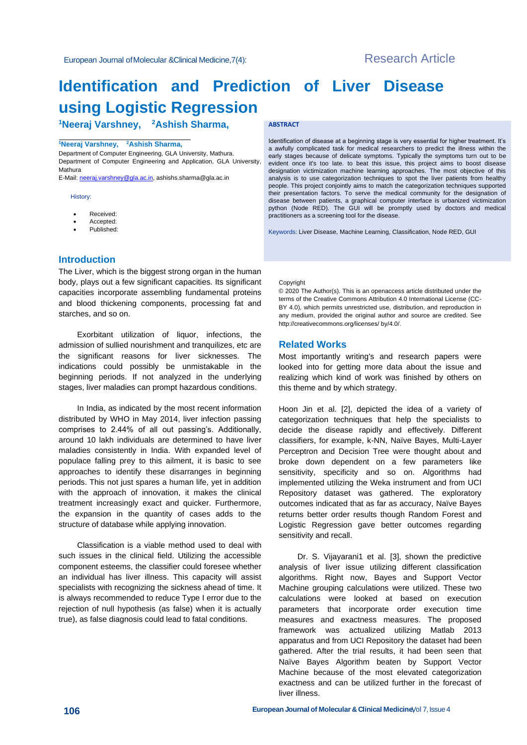# **Identification and Prediction of Liver Disease using Logistic Regression**

**<sup>1</sup>Neeraj Varshney, <sup>2</sup>Ashish Sharma,**

#### **<sup>1</sup>Neeraj Varshney, <sup>2</sup>Ashish Sharma,**

Department of Computer Engineering, GLA University, Mathura. Department of Computer Engineering and Application, GLA University, Mathura

E-Mail[: neeraj.varshney@gla.ac.in,](mailto:neeraj.varshney@gla.ac.in) [ashishs.sharma@gla.ac.in](mailto:ashishs.sharma@gla.ac.in)

#### History:

- Received:
- Accepted:
- Published:

#### **ABSTRACT**

Identification of disease at a beginning stage is very essential for higher treatment. It's a awfully complicated task for medical researchers to predict the illness within the early stages because of delicate symptoms. Typically the symptoms turn out to be evident once it's too late. to beat this issue, this project aims to boost disease designation victimization machine learning approaches. The most objective of this analysis is to use categorization techniques to spot the liver patients from healthy people. This project conjointly aims to match the categorization techniques supported their presentation factors. To serve the medical community for the designation of disease between patients, a graphical computer interface is urbanized victimization python (Node RED). The GUI will be promptly used by doctors and medical practitioners as a screening tool for the disease.

Keywords: Liver Disease, Machine Learning, Classification, Node RED, GUI

## **Introduction**

The Liver, which is the biggest strong organ in the human body, plays out a few significant capacities. Its significant capacities incorporate assembling fundamental proteins and blood thickening components, processing fat and starches, and so on.

Exorbitant utilization of liquor, infections, the admission of sullied nourishment and tranquilizes, etc are the significant reasons for liver sicknesses. The indications could possibly be unmistakable in the beginning periods. If not analyzed in the underlying stages, liver maladies can prompt hazardous conditions.

In India, as indicated by the most recent information distributed by WHO in May 2014, liver infection passing comprises to 2.44% of all out passing's. Additionally, around 10 lakh individuals are determined to have liver maladies consistently in India. With expanded level of populace falling prey to this ailment, it is basic to see approaches to identify these disarranges in beginning periods. This not just spares a human life, yet in addition with the approach of innovation, it makes the clinical treatment increasingly exact and quicker. Furthermore, the expansion in the quantity of cases adds to the structure of database while applying innovation.

Classification is a viable method used to deal with such issues in the clinical field. Utilizing the accessible component esteems, the classifier could foresee whether an individual has liver illness. This capacity will assist specialists with recognizing the sickness ahead of time. It is always recommended to reduce Type I error due to the rejection of null hypothesis (as false) when it is actually true), as false diagnosis could lead to fatal conditions.

#### Copyright

© 2020 The Author(s). This is an openaccess article distributed under the terms of the Creative Commons Attribution 4.0 International License (CC-BY 4.0), which permits unrestricted use, distribution, and reproduction in any medium, provided the original author and source are credited. See http://creativecommons.org/licenses/ by/4.0/.

#### **Related Works**

Most importantly writing's and research papers were looked into for getting more data about the issue and realizing which kind of work was finished by others on this theme and by which strategy.

Hoon Jin et al. [2], depicted the idea of a variety of categorization techniques that help the specialists to decide the disease rapidly and effectively. Different classifiers, for example, k-NN, Naïve Bayes, Multi-Layer Perceptron and Decision Tree were thought about and broke down dependent on a few parameters like sensitivity, specificity and so on. Algorithms had implemented utilizing the Weka instrument and from UCI Repository dataset was gathered. The exploratory outcomes indicated that as far as accuracy, Naïve Bayes returns better order results though Random Forest and Logistic Regression gave better outcomes regarding sensitivity and recall.

Dr. S. Vijayarani1 et al. [3], shown the predictive analysis of liver issue utilizing different classification algorithms. Right now, Bayes and Support Vector Machine grouping calculations were utilized. These two calculations were looked at based on execution parameters that incorporate order execution time measures and exactness measures. The proposed framework was actualized utilizing Matlab 2013 apparatus and from UCI Repository the dataset had been gathered. After the trial results, it had been seen that Naïve Bayes Algorithm beaten by Support Vector Machine because of the most elevated categorization exactness and can be utilized further in the forecast of liver illness.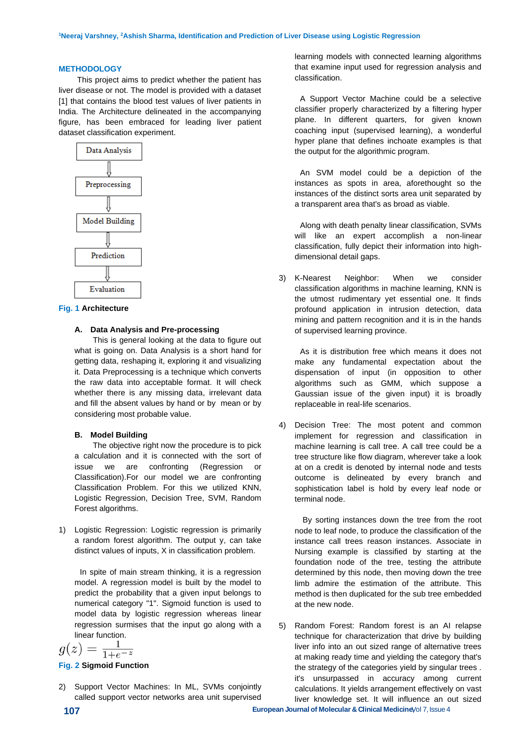#### **METHODOLOGY**

This project aims to predict whether the patient has liver disease or not. The model is provided with a dataset [1] that contains the blood test values of liver patients in India. The Architecture delineated in the accompanying figure, has been embraced for leading liver patient dataset classification experiment.



#### **Fig. 1 Architecture**

#### **A. Data Analysis and Pre-processing**

This is general looking at the data to figure out what is going on. Data Analysis is a short hand for getting data, reshaping it, exploring it and visualizing it. Data Preprocessing is a technique which converts the raw data into acceptable format. It will check whether there is any missing data, irrelevant data and fill the absent values by hand or by mean or by considering most probable value.

#### **B. Model Building**

The objective right now the procedure is to pick a calculation and it is connected with the sort of issue we are confronting (Regression or Classification).For our model we are confronting Classification Problem. For this we utilized KNN, Logistic Regression, Decision Tree, SVM, Random Forest algorithms.

1) Logistic Regression: Logistic regression is primarily a random forest algorithm. The output y, can take distinct values of inputs, X in classification problem.

In spite of main stream thinking, it is a regression model. A regression model is built by the model to predict the probability that a given input belongs to numerical category "1". Sigmoid function is used to model data by logistic regression whereas linear regression surmises that the input go along with a linear function.

$$
g(z) = \frac{1}{1 + e^{-z}}
$$

#### **Fig. 2 Sigmoid Function**

2) Support Vector Machines: In ML, SVMs conjointly called support vector networks area unit supervised

learning models with connected learning algorithms that examine input used for regression analysis and classification.

A Support Vector Machine could be a selective classifier properly characterized by a filtering hyper plane. In different quarters, for given known coaching input (supervised learning), a wonderful hyper plane that defines inchoate examples is that the output for the algorithmic program.

An SVM model could be a depiction of the instances as spots in area, aforethought so the instances of the distinct sorts area unit separated by a transparent area that's as broad as viable.

Along with death penalty linear classification, SVMs will like an expert accomplish a non-linear classification, fully depict their information into highdimensional detail gaps.

3) K-Nearest Neighbor: When we consider classification algorithms in machine learning, KNN is the utmost rudimentary yet essential one. It finds profound application in intrusion detection, data mining and pattern recognition and it is in the hands of supervised learning province.

As it is distribution free which means it does not make any fundamental expectation about the dispensation of input (in opposition to other algorithms such as GMM, which suppose a Gaussian issue of the given input) it is broadly replaceable in real-life scenarios.

4) Decision Tree: The most potent and common implement for regression and classification in machine learning is call tree. A call tree could be a tree structure like flow diagram, wherever take a look at on a credit is denoted by internal node and tests outcome is delineated by every branch and sophistication label is hold by every leaf node or terminal node.

By sorting instances down the tree from the root node to leaf node, to produce the classification of the instance call trees reason instances. Associate in Nursing example is classified by starting at the foundation node of the tree, testing the attribute determined by this node, then moving down the tree limb admire the estimation of the attribute. This method is then duplicated for the sub tree embedded at the new node.

5) Random Forest: Random forest is an AI relapse technique for characterization that drive by building liver info into an out sized range of alternative trees at making ready time and yielding the category that's the strategy of the categories yield by singular trees . it's unsurpassed in accuracy among current calculations. It yields arrangement effectively on vast liver knowledge set. It will influence an out sized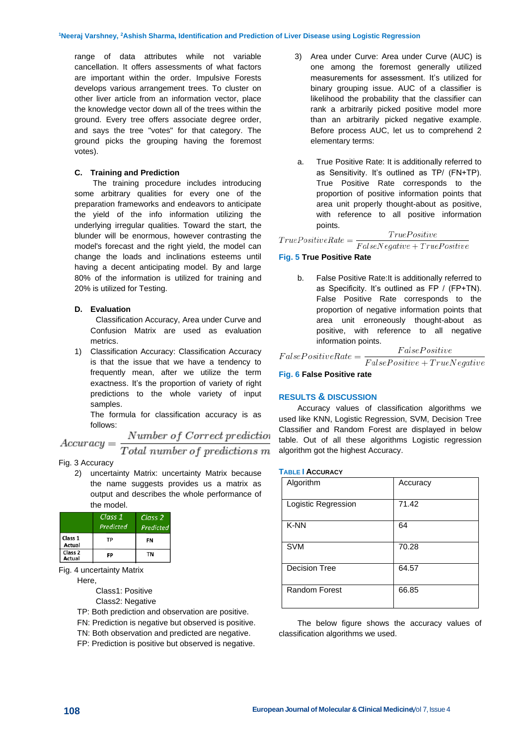range of data attributes while not variable cancellation. It offers assessments of what factors are important within the order. Impulsive Forests develops various arrangement trees. To cluster on other liver article from an information vector, place the knowledge vector down all of the trees within the ground. Every tree offers associate degree order, and says the tree "votes" for that category. The ground picks the grouping having the foremost votes).

#### **C. Training and Prediction**

The training procedure includes introducing some arbitrary qualities for every one of the preparation frameworks and endeavors to anticipate the yield of the info information utilizing the underlying irregular qualities. Toward the start, the blunder will be enormous, however contrasting the model's forecast and the right yield, the model can change the loads and inclinations esteems until having a decent anticipating model. By and large 80% of the information is utilized for training and 20% is utilized for Testing.

#### **D. Evaluation**

Classification Accuracy, Area under Curve and Confusion Matrix are used as evaluation metrics.

1) Classification Accuracy: Classification Accuracy is that the issue that we have a tendency to frequently mean, after we utilize the term exactness. It's the proportion of variety of right predictions to the whole variety of input samples.

The formula for classification accuracy is as follows:  $\overline{a}$ .

$$
Accuracy = \frac{Number\ of\ Correct\ prediction}{Total\ number\ of\ predictions\ m}
$$

#### Fig. 3 Accuracy

2) uncertainty Matrix: uncertainty Matrix because the name suggests provides us a matrix as output and describes the whole performance of the model.

|                              | Class 1<br>Predicted | Class <sub>2</sub><br>Predicted |
|------------------------------|----------------------|---------------------------------|
| Class 1<br>Actual            | ТP                   | FN                              |
| Class <sub>2</sub><br>Actual | FP                   | TN                              |

Fig. 4 uncertainty Matrix

Here,

Class1: Positive

- Class2: Negative
- TP: Both prediction and observation are positive.
- FN: Prediction is negative but observed is positive.
- TN: Both observation and predicted are negative.
- FP: Prediction is positive but observed is negative.
- 3) Area under Curve: Area under Curve (AUC) is one among the foremost generally utilized measurements for assessment. It's utilized for binary grouping issue. AUC of a classifier is likelihood the probability that the classifier can rank a arbitrarily picked positive model more than an arbitrarily picked negative example. Before process AUC, let us to comprehend 2 elementary terms:
- a. True Positive Rate: It is additionally referred to as Sensitivity. It's outlined as TP/ (FN+TP). True Positive Rate corresponds to the proportion of positive information points that area unit properly thought-about as positive, with reference to all positive information points.

 $True Positive$  $\label{eq:3} True Positive Rate = % \begin{align*} \frac{1}{\sqrt{2\pi}}\sum_{x} \left( \frac{1}{\sqrt{2\pi}} \frac{1}{\sqrt{2\pi}} \right) \frac{dx}{dx} \end{align*} % \begin{align*} \frac{1}{\sqrt{2\pi}}\sum_{x} \left( \frac{1}{\sqrt{2\pi}} \frac{1}{\sqrt{2\pi}} \right) \frac{dy}{dx} \end{align*} % \begin{align*} \frac{1}{\sqrt{2\pi}}\sum_{x} \left( \frac{1}{\sqrt{2\pi}} \frac{1}{\sqrt{2\pi}} \right) \frac{dy}{dx} \end{align*} % \begin{align*} \$  $FalseNegative + TruePositive$ 

#### **Fig. 5 True Positive Rate**

b. False Positive Rate:It is additionally referred to as Specificity. It's outlined as FP / (FP+TN). False Positive Rate corresponds to the proportion of negative information points that area unit erroneously thought-about as positive, with reference to all negative information points.  $E_{a}l_{ac}D_{c}e^{i t_{ac}t}$ 

$$
False Positive Rate = \frac{raisePositive}{False Positive + TrueNeactive}
$$

**Fig. 6 False Positive rate**

#### **RESULTS & DISCUSSION**

Accuracy values of classification algorithms we used like KNN, Logistic Regression, SVM, Decision Tree Classifier and Random Forest are displayed in below table. Out of all these algorithms Logistic regression algorithm got the highest Accuracy.

#### **TABLE I ACCURACY**

| Algorithm            | Accuracy |
|----------------------|----------|
| Logistic Regression  | 71.42    |
| K-NN                 | 64       |
| <b>SVM</b>           | 70.28    |
| <b>Decision Tree</b> | 64.57    |
| <b>Random Forest</b> | 66.85    |

The below figure shows the accuracy values of classification algorithms we used.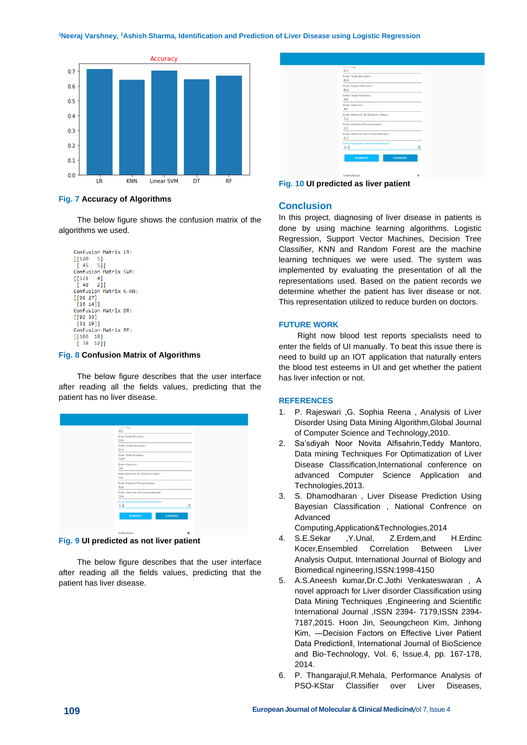**<sup>1</sup>Neeraj Varshney, <sup>2</sup>Ashish Sharma, Identification and Prediction of Liver Disease using Logistic Regression**



#### **Fig. 7 Accuracy of Algorithms**

The below figure shows the confusion matrix of the algorithms we used.

```
Confusion Matrix LR:
[120 5]
[45 5]Confusion Matrix SVM:
[[121 4]<br>\n[48 2]]Confusion Matrix K-NN:
[[98 27]
  [36 14]Confusion Matrix DT:
[ [92 33]\frac{1}{31} 1911
Confusion Matrix RF:
[\begin{bmatrix} 106 & 19 \end{bmatrix}]\left[\begin{array}{cc} 38 & 12\end{array}\right]
```
#### **Fig. 8 Confusion Matrix of Algorithms**

The below figure describes that the user interface after reading all the fields values, predicting that the patient has no liver disease.

| <b>WITH PAPE</b><br>65                         |        |
|------------------------------------------------|--------|
| Enter Total Bilirubin *<br>0.9                 |        |
| Enter Direct Bilingbin *<br>0.3                |        |
| Enter Total Protiens *<br>187                  |        |
| Enter Albumin."<br>16                          |        |
| Enter Albumin & Globulin Ratio *<br>14         |        |
| Enter Alkaline Phosphotase"<br>6.8             |        |
| Enter Alamine Aminotransferase *<br>3.4        |        |
| <b>Enter Asparate Aminotransferase*</b><br>1.4 | $\sim$ |
| <b>CANCEL</b><br><b>SUBMIT</b>                 |        |
| Infection                                      | ۰      |

### **Fig. 9 UI predicted as not liver patient**

The below figure describes that the user interface after reading all the fields values, predicting that the patient has liver disease.

| <b>WITHE PROPE</b>                      |           |
|-----------------------------------------|-----------|
| 63                                      |           |
| Enter Total Bilinubin *<br>9.8          |           |
| Enter Direct Bilirubin *<br>8.6         |           |
| Enter Total Protiens *<br>56            |           |
| Enter Albumin"<br>45                    |           |
| Enter Albumin & Globulin Ratio -<br>12  |           |
| Enter Alkaline Phosphotase "<br>23      |           |
| Enter Alamine Aminotransferase *<br>2.3 |           |
| Enter Asparate Aminotransferase*<br>3.1 | $\hat{=}$ |
| <b>CANCEL</b><br><b>SUBMIT</b>          |           |

**Fig. 10 UI predicted as liver patient**

## **Conclusion**

In this project, diagnosing of liver disease in patients is done by using machine learning algorithms. Logistic Regression, Support Vector Machines, Decision Tree Classifier, KNN and Random Forest are the machine learning techniques we were used. The system was implemented by evaluating the presentation of all the representations used. Based on the patient records we determine whether the patient has liver disease or not. This representation utilized to reduce burden on doctors.

#### **FUTURE WORK**

Right now blood test reports specialists need to enter the fields of UI manually. To beat this issue there is need to build up an IOT application that naturally enters the blood test esteems in UI and get whether the patient has liver infection or not.

#### **REFERENCES**

- 1. P. Rajeswari ,G. Sophia Reena , Analysis of Liver Disorder Using Data Mining Algorithm,Global Journal of Computer Science and Technology,2010.
- 2. Sa'sdiyah Noor Novita Alfisahrin,Teddy Mantoro, Data mining Techniques For Optimatization of Liver Disease Classification,International conference on advanced Computer Science Application and Technologies,2013.
- 3. S. Dhamodharan , Liver Disease Prediction Using Bayesian Classification , National Confrence on Advanced

Computing,Application&Technologies,2014

- 4. S.E.Sekar ,Y.Unal, Z.Erdem,and H.Erdinc Kocer,Ensembled Correlation Between Liver Analysis Output, International Journal of Biology and Biomedical ngineering,ISSN:1998-4150
- 5. A.S.Aneesh kumar,Dr.C.Jothi Venkateswaran , A novel approach for Liver disorder Classification using Data Mining Techniques ,Engineering and Scientific International Journal ,ISSN 2394- 7179,ISSN 2394- 7187,2015. Hoon Jin, Seoungcheon Kim, Jinhong Kim, ―Decision Factors on Effective Liver Patient Data Prediction‖, International Journal of BioScience and Bio-Technology, Vol. 6, Issue.4, pp. 167-178, 2014.
- 6. P. Thangarajul,R.Mehala, Performance Analysis of PSO-KStar Classifier over Liver Diseases,